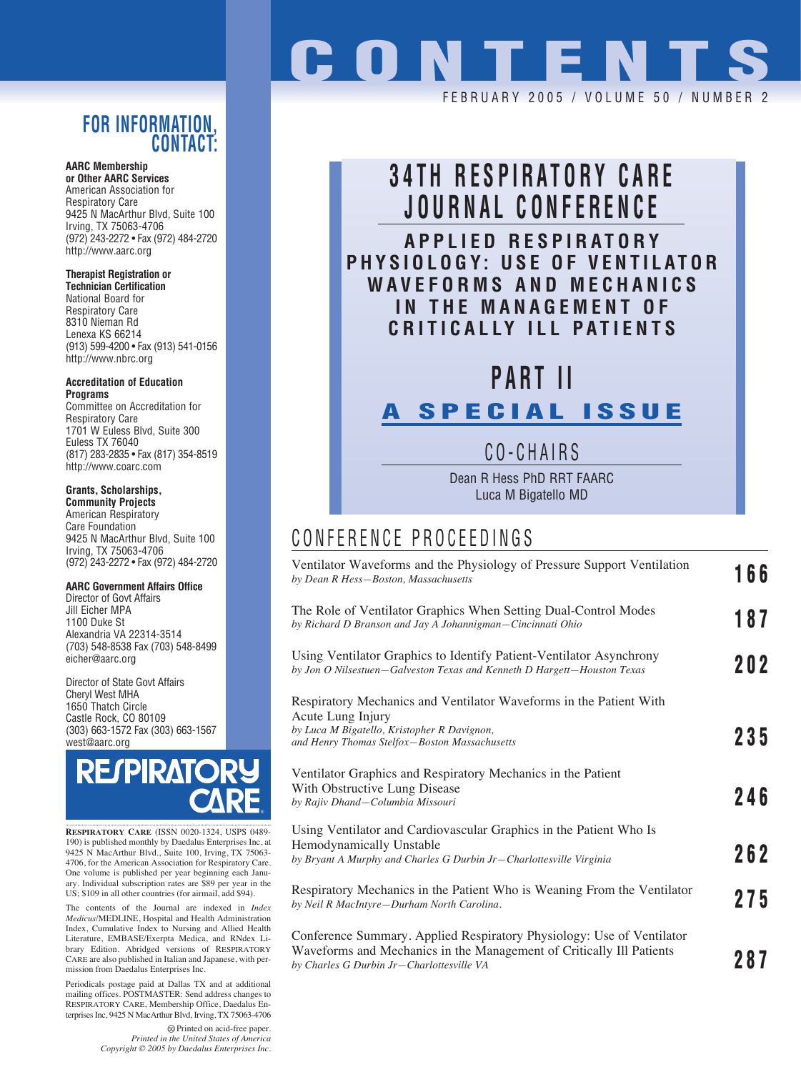### **FOR INFORMATION, CONTACT:**

**AARC Membership or Other AARC Services**

American Association for Respiratory Care 9425 N MacArthur Blvd, Suite 100 Irving, TX 75063-4706 (972) 243-2272 • Fax (972) 484-2720 http://www.aarc.org

#### **Therapist Registration or**

**Technician Certification** National Board for Respiratory Care 8310 Nieman Rd Lenexa KS 66214 (913) 599-4200 • Fax (913) 541-0156 http://www.nbrc.org

**Accreditation of Education Programs** Committee on Accreditation for

Respiratory Care 1701 W Euless Blvd, Suite 300 Euless TX 76040 (817) 283-2835 • Fax (817) 354-8519 http://www.coarc.com

#### **Grants, Scholarships,**

**Community Projects** American Respiratory Care Foundation 9425 N MacArthur Blvd, Suite 100 Irving, TX 75063-4706 (972) 243-2272 • Fax (972) 484-2720

#### **AARC Government Affairs Office**

Director of Govt Affairs Jill Eicher MPA 1100 Duke St Alexandria VA 22314-3514 (703) 548-8538 Fax (703) 548-8499 eicher@aarc.org

Director of State Govt Affairs Cheryl West MHA 1650 Thatch Circle Castle Rock, CO 80109 (303) 663-1572 Fax (303) 663-1567 west@aarc.org



**RESPIRATORY CARE** (ISSN 0020-1324, USPS 0489- 190) is published monthly by Daedalus Enterprises Inc, at 9425 N MacArthur Blvd., Suite 100, Irving, TX 75063- 4706, for the American Association for Respiratory Care. One volume is published per year beginning each Janu-ary. Individual subscription rates are \$89 per year in the US; \$109 in all other countries (for airmail, add \$94).

The contents of the Journal are indexed in *Index Medicus*/MEDLINE, Hospital and Health Administration Index, Cumulative Index to Nursing and Allied Health Literature, EMBASE/Exerpta Medica, and RNdex Library Edition. Abridged versions of RESPIRATORY CARE are also published in Italian and Japanese, with permission from Daedalus Enterprises Inc.

Periodicals postage paid at Dallas TX and at additional mailing offices. POSTMASTER: Send address changes to RESPIRATORY CARE, Membership Office, Daedalus Enterprises Inc, 9425 N MacArthur Blvd, Irving, TX 75063-4706

> Printed on acid-free paper. *Printed in the United States of America Copyright © 2005 by Daedalus Enterprises Inc.*

# **CONTENTS** FEBRUARY 2005 / VOLUME 50 / NUMBE

## **34TH RESPIRATORY CARE JOURNAL CONFERENCE APPLIED RESPIRATORY PHYSIOLOGY: USE OF VENTILATOR**

**WAVEFORMS AND MECHANICS IN THE MANAGEMENT OF CRITICALLY ILL PATIENTS**

## **PART II**

### **A SPECIAL ISSUE**

CO-CHAIRS

Dean R Hess PhD RRT FAARC Luca M Bigatello MD

### CONFERENCE PROCEEDINGS

| Ventilator Waveforms and the Physiology of Pressure Support Ventilation<br>by Dean R Hess-Boston, Massachusetts                                                                            | 166 |
|--------------------------------------------------------------------------------------------------------------------------------------------------------------------------------------------|-----|
| The Role of Ventilator Graphics When Setting Dual-Control Modes<br>by Richard D Branson and Jay A Johannigman-Cincinnati Ohio                                                              | 187 |
| Using Ventilator Graphics to Identify Patient-Ventilator Asynchrony<br>by Jon O Nilsestuen-Galveston Texas and Kenneth D Hargett-Houston Texas                                             | 202 |
| Respiratory Mechanics and Ventilator Waveforms in the Patient With<br>Acute Lung Injury                                                                                                    |     |
| by Luca M Bigatello, Kristopher R Davignon,<br>and Henry Thomas Stelfox-Boston Massachusetts                                                                                               | 235 |
| Ventilator Graphics and Respiratory Mechanics in the Patient<br>With Obstructive Lung Disease<br>by Rajiv Dhand-Columbia Missouri                                                          | 246 |
| Using Ventilator and Cardiovascular Graphics in the Patient Who Is<br>Hemodynamically Unstable<br>by Bryant A Murphy and Charles G Durbin Jr-Charlottesville Virginia                      | 262 |
| Respiratory Mechanics in the Patient Who is Weaning From the Ventilator<br>by Neil R MacIntyre-Durham North Carolina.                                                                      | 275 |
| Conference Summary. Applied Respiratory Physiology: Use of Ventilator<br>Waveforms and Mechanics in the Management of Critically Ill Patients<br>by Charles G Durbin Jr-Charlottesville VA | 287 |